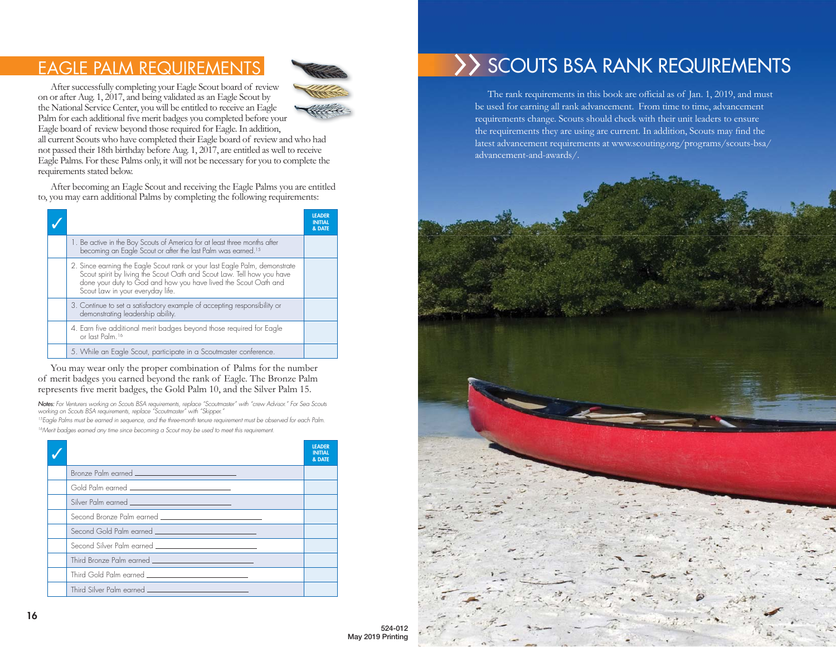## EAGLE PALM REQUIREMENTS

After successfully completing your Eagle Scout board of review on or after Aug. 1, 2017, and being validated as an Eagle Scout by the National Service Center, you will be entitled to receive an Eagle Palm for each additional five merit badges you completed before your



Eagle board of review beyond those required for Eagle. In addition, all current Scouts who have completed their Eagle board of review and who had not passed their 18th birthday before Aug. 1, 2017, are entitled as well to receive Eagle Palms. For these Palms only, it will not be necessary for you to complete the requirements stated below.

After becoming an Eagle Scout and receiving the Eagle Palms you are entitled to, you may earn additional Palms by completing the following requirements:

|  |                                                                                                                                                                                                                                                             | <b>INITIAL</b><br>& DATE |
|--|-------------------------------------------------------------------------------------------------------------------------------------------------------------------------------------------------------------------------------------------------------------|--------------------------|
|  | 1. Be active in the Boy Scouts of America for at least three months after<br>becoming an Eagle Scout or after the last Palm was earned. <sup>15</sup>                                                                                                       |                          |
|  | 2. Since earning the Eagle Scout rank or your last Eagle Palm, demonstrate<br>Scout spirit by living the Scout Oath and Scout Law. Tell how you have<br>done your duty to God and how you have lived the Scout Oath and<br>Scout Law in your everyday life. |                          |
|  | 3. Continue to set a satisfactory example of accepting responsibility or<br>demonstrating leadership ability.                                                                                                                                               |                          |
|  | 4. Earn five additional merit badges beyond those required for Eagle<br>or last Palm. <sup>16</sup>                                                                                                                                                         |                          |
|  | 5. While an Eagle Scout, participate in a Scoutmaster conference.                                                                                                                                                                                           |                          |

You may wear only the proper combination of Palms for the number of merit badges you earned beyond the rank of Eagle. The Bronze Palm represents five merit badges, the Gold Palm 10, and the Silver Palm 15.

**Notes:** For Venturers working on Scouts BSA requirements, replace "Scoutmaster" with "crew Advisor." For Sea Scouts<br>working on Scouts BSA requirements, replace "Scoutmaster" with "Skipper."

<sup>15</sup>Eagle Palms must be earned in sequence, and the three-month tenure requirement must be observed for each Palm. <sup>16</sup>Merit badges earned any time since becoming a Scout may be used to meet this requirement.

|                                                         | <b>IFADER</b><br>INIT<br>& DATE |
|---------------------------------------------------------|---------------------------------|
| Bronze Palm earned ____________________________         |                                 |
| Gold Palm earned ____________________________           |                                 |
| Silver Palm earned ____________________________         |                                 |
| Second Bronze Palm earned __________________________    |                                 |
|                                                         |                                 |
| Second Silver Palm earned _____________________________ |                                 |
| Third Bronze Palm earned ______________________________ |                                 |
| Third Gold Palm earned _____________________________    |                                 |
| Third Silver Palm earned ____________________________   |                                 |

# >> SCOUTS BSA RANK REQUIREMENTS

The rank requirements in this book are official as of Jan. 1, 2019, and must be used for earning all rank advancement. From time to time, advancement requirements change. Scouts should check with their unit leaders to ensure the requirements they are using are current. In addition, Scouts may find the latest advancement requirements at www.scouting.org/programs/scouts-bsa/ advancement-and-awards/.

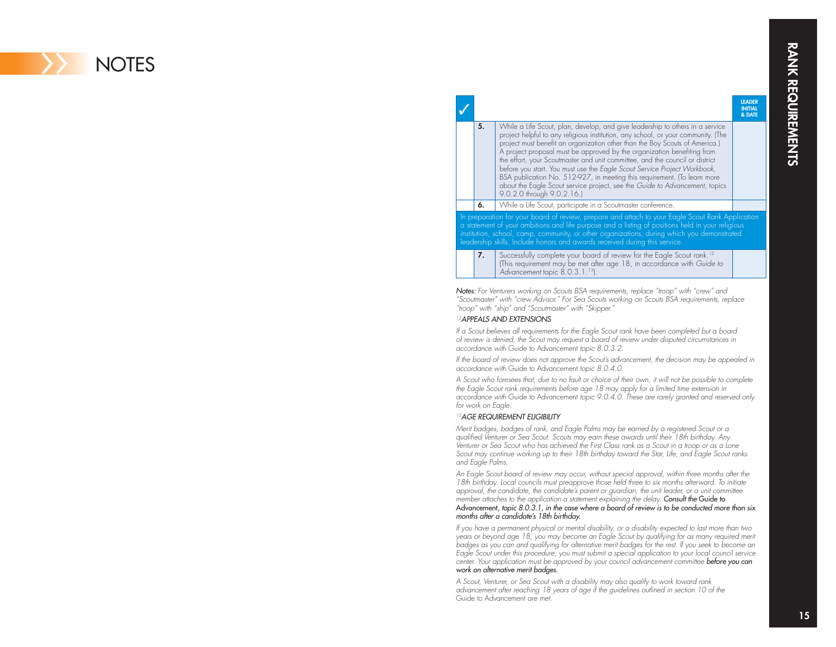

|                                                                                                                                                                                                                                                                                                                                                                                   |    |                                                                                                                                                                                                                                                                                                                                                                                                                                                                                                                                                                                                                                                                                   | <b>IFADER</b><br><b>INITIAI</b><br>& DATE |
|-----------------------------------------------------------------------------------------------------------------------------------------------------------------------------------------------------------------------------------------------------------------------------------------------------------------------------------------------------------------------------------|----|-----------------------------------------------------------------------------------------------------------------------------------------------------------------------------------------------------------------------------------------------------------------------------------------------------------------------------------------------------------------------------------------------------------------------------------------------------------------------------------------------------------------------------------------------------------------------------------------------------------------------------------------------------------------------------------|-------------------------------------------|
|                                                                                                                                                                                                                                                                                                                                                                                   | 5. | While a Life Scout, plan, develop, and give leadership to others in a service<br>project helpful to any religious institution, any school, or your community. (The<br>project must benefit an organization other than the Boy Scouts of America.)<br>A project proposal must be approved by the organization benefiting from<br>the effort, your Scoutmaster and unit committee, and the council or district<br>before you start. You must use the Eagle Scout Service Project Workbook,<br>BSA publication No. 512-927, in meeting this requirement. (To learn more<br>about the Eagle Scout service project, see the Guide to Advancement, topics<br>9.0.2.0 through 9.0.2.16.) |                                           |
|                                                                                                                                                                                                                                                                                                                                                                                   | 6. | While a Life Scout, participate in a Scoutmaster conference.                                                                                                                                                                                                                                                                                                                                                                                                                                                                                                                                                                                                                      |                                           |
| In preparation for your board of review, prepare and attach to your Eagle Scout Rank Application<br>a statement of your ambitions and life purpose and a listing of positions held in your religious<br>institution, school, camp, community, or other organizations, during which you demonstrated<br>leadership skills. Include honors and awards received during this service. |    |                                                                                                                                                                                                                                                                                                                                                                                                                                                                                                                                                                                                                                                                                   |                                           |
|                                                                                                                                                                                                                                                                                                                                                                                   | 7. | Successfully complete your board of review for the Eagle Scout rank. <sup>12</sup><br>(This requirement may be met after age 18, in accordance with Guide to<br>Advancement topic 8.0.3.1.13).                                                                                                                                                                                                                                                                                                                                                                                                                                                                                    |                                           |

Notes: For Venturers working on Scouts BSA requirements, replace "troop" with "crew" and "Scoutmaster" with "crew Advisor." For Sea Scouts working on Scouts BSA requirements, replace "troop" with "ship" and "Scoutmaster" with "Skipper."

#### 12APPEALS AND EXTENSIONS

If a Scout believes all requirements for the Eagle Scout rank have been completed but a board of review is denied, the Scout may request a board of review under disputed circumstances in accordance with Guide to Advancement topic 8.0.3.2.

If the board of review does not approve the Scout's advancement, the decision may be appealed in accordance with Guide to Advancement topic 8.0.4.0.

A Scout who foresees that, due to no fault or choice of their own, it will not be possible to complete the Eagle Scout rank requirements before age 18 may apply for a limited time extension in accordance with Guide to Advancement topic 9.0.4.0. These are rarely granted and reserved only for work on Eagle.

#### 13AGE REQUIREMENT ELIGIBILITY

Merit badges, badges of rank, and Eagle Palms may be earned by a registered Scout or a qualified Venturer or Sea Scout. Scouts may earn these awards until their 18th birthday. Any Venturer or Sea Scout who has achieved the First Class rank as a Scout in a troop or as a Lone Scout may continue working up to their 18th birthday toward the Star, Life, and Eagle Scout ranks and Eagle Palms.

An Eagle Scout board of review may occur, without special approval, within three months after the 18th birthday. Local councils must preapprove those held three to six months afterward. To initiate approval, the candidate, the candidate's parent or guardian, the unit leader, or a unit committee member attaches to the application a statement explaining the delay. Consult the Guide to Advancement, topic 8.0.3.1, in the case where a board of review is to be conducted more than six months after a candidate's 18th birthday.

If you have a permanent physical or mental disability, or a disability expected to last more than two years or beyond age 18, you may become an Eagle Scout by qualifying for as many required merit badges as you can and qualifying for alternative merit badges for the rest. If you seek to become an Eagle Scout under this procedure, you must submit a special application to your local council service center. Your application must be approved by your council advancement committee before you can work on alternative merit badges.

A Scout, Venturer, or Sea Scout with a disability may also qualify to work toward rank advancement after reaching 18 years of age if the guidelines outlined in section 10 of the Guide to Advancement are met.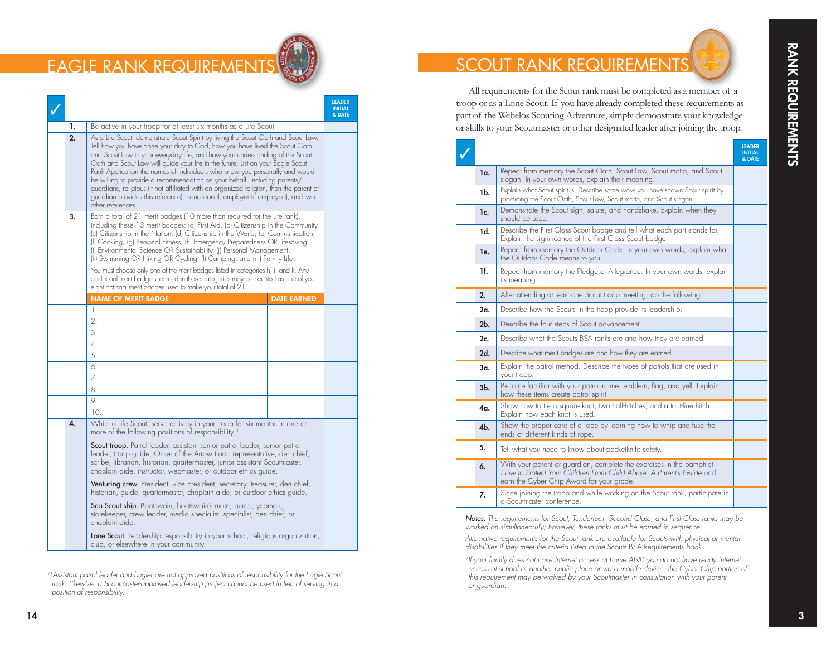

|                                                                                                                                                                                                                                                                                                                                                                                                                                                                                                                                                                                                                                                                                                        |                                                                                                                                                                                                                                                                                                                                                                                                                                                                                                                                                                                                                                                                                                                               |                    | <b>LEADER</b><br><b>INITIAL</b><br>& DATE |
|--------------------------------------------------------------------------------------------------------------------------------------------------------------------------------------------------------------------------------------------------------------------------------------------------------------------------------------------------------------------------------------------------------------------------------------------------------------------------------------------------------------------------------------------------------------------------------------------------------------------------------------------------------------------------------------------------------|-------------------------------------------------------------------------------------------------------------------------------------------------------------------------------------------------------------------------------------------------------------------------------------------------------------------------------------------------------------------------------------------------------------------------------------------------------------------------------------------------------------------------------------------------------------------------------------------------------------------------------------------------------------------------------------------------------------------------------|--------------------|-------------------------------------------|
| 1.                                                                                                                                                                                                                                                                                                                                                                                                                                                                                                                                                                                                                                                                                                     | Be active in your troop for at least six months as a Life Scout.                                                                                                                                                                                                                                                                                                                                                                                                                                                                                                                                                                                                                                                              |                    |                                           |
| 2.<br>As a Life Scout, demonstrate Scout Spirit by living the Scout Oath and Scout Law.<br>Tell how you have done your duty to God, how you have lived the Scout Oath<br>and Scout Law in your everyday life, and how your understanding of the Scout<br>Oath and Scout Law will guide your life in the future. List on your Eagle Scout<br>Rank Application the names of individuals who know you personally and would<br>be willing to provide a recommendation on your behalf, including parents/<br>guardians, religious (if not affiliated with an organized religion, then the parent or<br>guardian provides this reference), educational, employer (if employed), and two<br>other references. |                                                                                                                                                                                                                                                                                                                                                                                                                                                                                                                                                                                                                                                                                                                               |                    |                                           |
| 3.                                                                                                                                                                                                                                                                                                                                                                                                                                                                                                                                                                                                                                                                                                     | Earn a total of 21 merit badges (10 more than required for the Life rank),<br>including these 13 merit badges: (a) First Aid, (b) Citizenship in the Community,<br>(c) Citizenship in the Nation, (d) Citizenship in the World, (e) Communication,<br>(f) Cooking, (g) Personal Fitness, (h) Emergency Preparedness OR Lifesaving,<br>(i) Environmental Science OR Sustainability, (j) Personal Management,<br>(k) Swimming OR Hiking OR Cycling, (I) Camping, and (m) Family Life.<br>You must choose only one of the merit badges listed in categories h, i, and k. Any<br>additional merit badge(s) earned in those categories may be counted as one of your<br>eight optional merit badges used to make your total of 21. |                    |                                           |
|                                                                                                                                                                                                                                                                                                                                                                                                                                                                                                                                                                                                                                                                                                        | <b>NAME OF MERIT BADGE</b>                                                                                                                                                                                                                                                                                                                                                                                                                                                                                                                                                                                                                                                                                                    | <b>DATE EARNED</b> |                                           |
|                                                                                                                                                                                                                                                                                                                                                                                                                                                                                                                                                                                                                                                                                                        | 1.                                                                                                                                                                                                                                                                                                                                                                                                                                                                                                                                                                                                                                                                                                                            |                    |                                           |
|                                                                                                                                                                                                                                                                                                                                                                                                                                                                                                                                                                                                                                                                                                        | 2.                                                                                                                                                                                                                                                                                                                                                                                                                                                                                                                                                                                                                                                                                                                            |                    |                                           |
|                                                                                                                                                                                                                                                                                                                                                                                                                                                                                                                                                                                                                                                                                                        | 3.                                                                                                                                                                                                                                                                                                                                                                                                                                                                                                                                                                                                                                                                                                                            |                    |                                           |
|                                                                                                                                                                                                                                                                                                                                                                                                                                                                                                                                                                                                                                                                                                        | 4.                                                                                                                                                                                                                                                                                                                                                                                                                                                                                                                                                                                                                                                                                                                            |                    |                                           |
|                                                                                                                                                                                                                                                                                                                                                                                                                                                                                                                                                                                                                                                                                                        | 5.                                                                                                                                                                                                                                                                                                                                                                                                                                                                                                                                                                                                                                                                                                                            |                    |                                           |
|                                                                                                                                                                                                                                                                                                                                                                                                                                                                                                                                                                                                                                                                                                        | 6.                                                                                                                                                                                                                                                                                                                                                                                                                                                                                                                                                                                                                                                                                                                            |                    |                                           |
|                                                                                                                                                                                                                                                                                                                                                                                                                                                                                                                                                                                                                                                                                                        | 7.                                                                                                                                                                                                                                                                                                                                                                                                                                                                                                                                                                                                                                                                                                                            |                    |                                           |
|                                                                                                                                                                                                                                                                                                                                                                                                                                                                                                                                                                                                                                                                                                        | 8.                                                                                                                                                                                                                                                                                                                                                                                                                                                                                                                                                                                                                                                                                                                            |                    |                                           |
|                                                                                                                                                                                                                                                                                                                                                                                                                                                                                                                                                                                                                                                                                                        | 9.                                                                                                                                                                                                                                                                                                                                                                                                                                                                                                                                                                                                                                                                                                                            |                    |                                           |
|                                                                                                                                                                                                                                                                                                                                                                                                                                                                                                                                                                                                                                                                                                        | 10.                                                                                                                                                                                                                                                                                                                                                                                                                                                                                                                                                                                                                                                                                                                           |                    |                                           |
| 4.                                                                                                                                                                                                                                                                                                                                                                                                                                                                                                                                                                                                                                                                                                     | While a Life Scout, serve actively in your troop for six months in one or<br>more of the following positions of responsibility <sup>11</sup> :<br>Scout troop. Patrol leader, assistant senior patrol leader, senior patrol                                                                                                                                                                                                                                                                                                                                                                                                                                                                                                   |                    |                                           |
|                                                                                                                                                                                                                                                                                                                                                                                                                                                                                                                                                                                                                                                                                                        | leader, troop guide, Order of the Arrow troop representative, den chief,<br>scribe, librarian, historian, quartermaster, junior assistant Scoutmaster,<br>chaplain aide, instructor, webmaster, or outdoor ethics guide.                                                                                                                                                                                                                                                                                                                                                                                                                                                                                                      |                    |                                           |
|                                                                                                                                                                                                                                                                                                                                                                                                                                                                                                                                                                                                                                                                                                        | <b>Venturing crew.</b> President, vice president, secretary, treasurer, den chief,<br>historian, guide, quartermaster, chaplain aide, or outdoor ethics guide.                                                                                                                                                                                                                                                                                                                                                                                                                                                                                                                                                                |                    |                                           |
|                                                                                                                                                                                                                                                                                                                                                                                                                                                                                                                                                                                                                                                                                                        | Sea Scout ship. Boatswain, boatswain's mate, purser, yeoman,<br>storekeeper, crew leader, media specialist, specialist, den chief, or<br>chaplain aide.                                                                                                                                                                                                                                                                                                                                                                                                                                                                                                                                                                       |                    |                                           |
|                                                                                                                                                                                                                                                                                                                                                                                                                                                                                                                                                                                                                                                                                                        | <b>Lone Scout.</b> Leadership responsibility in your school, religious organization,<br>club, or elsewhere in your community.                                                                                                                                                                                                                                                                                                                                                                                                                                                                                                                                                                                                 |                    |                                           |

<sup>11</sup> Assistant patrol leader and bugler are not approved positions of responsibility for the Eagle Scout rank. Likewise, a Scoutmaster-approved leadership project cannot be used in lieu of serving in a position of responsibility.

## SCOUT RANK REQUIREMENTS S

All requirements for the Scout rank must be completed as a member of a troop or as a Lone Scout. If you have already completed these requirements as part of the Webelos Scouting Adventure, simply demonstrate your knowledge or skills to your Scoutmaster or other designated leader after joining the troop.

|                |                                                                                                                                                                                                       | <b>LEADER</b><br><b>INITIAL</b><br>& DATE |
|----------------|-------------------------------------------------------------------------------------------------------------------------------------------------------------------------------------------------------|-------------------------------------------|
| la.            | Repeat from memory the Scout Oath, Scout Law, Scout motto, and Scout<br>slogan. In your own words, explain their meaning.                                                                             |                                           |
| 1b.            | Explain what Scout spirit is. Describe some ways you have shown Scout spirit by<br>practicing the Scout Oath, Scout Law, Scout motto, and Scout slogan.                                               |                                           |
| 1c.            | Demonstrate the Scout sign, salute, and handshake. Explain when they<br>should be used.                                                                                                               |                                           |
| 1d.            | Describe the First Class Scout badge and tell what each part stands for.<br>Explain the significance of the First Class Scout badge.                                                                  |                                           |
| le.            | Repeat from memory the Outdoor Code. In your own words, explain what<br>the Outdoor Code means to you.                                                                                                |                                           |
| 1f.            | Repeat from memory the Pledge of Allegiance. In your own words, explain<br>its meaning.                                                                                                               |                                           |
| 2.             | After attending at least one Scout troop meeting, do the following:                                                                                                                                   |                                           |
| 2a.            | Describe how the Scouts in the troop provide its leadership.                                                                                                                                          |                                           |
| 2 <sub>b</sub> | Describe the four steps of Scout advancement.                                                                                                                                                         |                                           |
| 2c.            | Describe what the Scouts BSA ranks are and how they are earned.                                                                                                                                       |                                           |
| 2d.            | Describe what merit badges are and how they are earned.                                                                                                                                               |                                           |
| 3a.            | Explain the patrol method. Describe the types of patrols that are used in<br>your troop.                                                                                                              |                                           |
| 3 <sub>b</sub> | Become familiar with your patrol name, emblem, flag, and yell. Explain<br>how these items create patrol spirit.                                                                                       |                                           |
| 4α.            | Show how to tie a square knot, two half-hitches, and a taut-line hitch.<br>Explain how each knot is used.                                                                                             |                                           |
| 4 <sub>b</sub> | Show the proper care of a rope by learning how to whip and fuse the<br>ends of different kinds of rope.                                                                                               |                                           |
| 5.             | Tell what you need to know about pocketknife safety.                                                                                                                                                  |                                           |
| 6.             | With your parent or guardian, complete the exercises in the pamphlet<br>How to Protect Your Children From Child Abuse: A Parent's Guide and<br>earn the Cyber Chip Award for your grade. <sup>1</sup> |                                           |
| 7.             | Since joining the troop and while working on the Scout rank, participate in<br>a Scoutmaster conference.                                                                                              |                                           |

Notes: The requirements for Scout, Tenderfoot, Second Class, and First Class ranks may be worked on simultaneously; however, these ranks must be earned in sequence.

Alternative requirements for the Scout rank are available for Scouts with physical or mental disabilities if they meet the criteria listed in the Scouts BSA Requirements book.

<sup>1</sup>If your family does not have internet access at home AND you do not have ready internet access at school or another public place or via a mobile device, the Cyber Chip portion of this requirement may be waived by your Scoutmaster in consultation with your parent or guardian.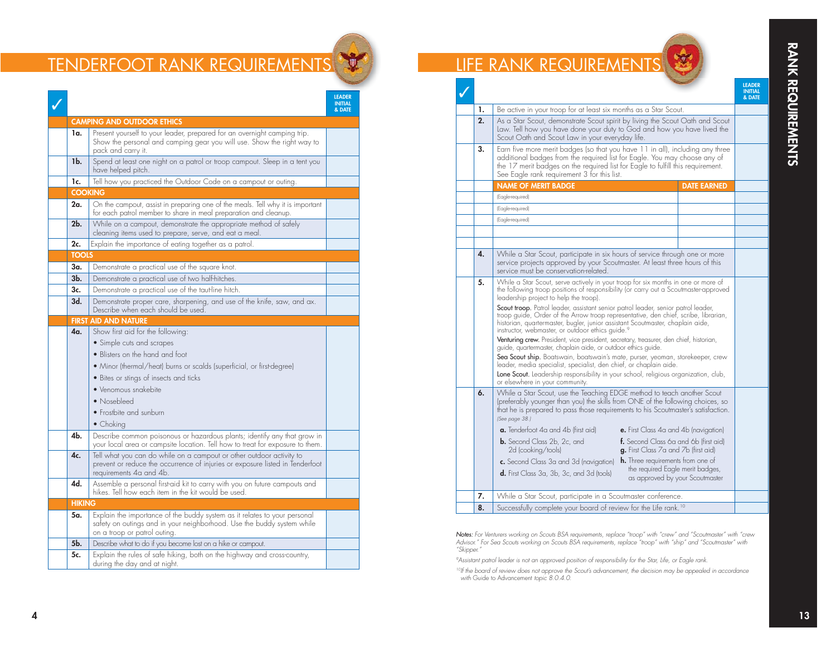#### <u>TENDERFOOT RANK REQUIREMENTS</u>

**NU** 

|                           |                |                                                                                                                                                                                     | <b>LEADER</b><br><b>INITIAL</b><br>& DATE |
|---------------------------|----------------|-------------------------------------------------------------------------------------------------------------------------------------------------------------------------------------|-------------------------------------------|
|                           |                | <b>CAMPING AND OUTDOOR ETHICS</b>                                                                                                                                                   |                                           |
|                           | 1a.            | Present yourself to your leader, prepared for an overnight camping trip.<br>Show the personal and camping gear you will use. Show the right way to<br>pack and carry it.            |                                           |
| 1b.<br>have helped pitch. |                | Spend at least one night on a patrol or troop campout. Sleep in a tent you                                                                                                          |                                           |
|                           | 1c.            | Tell how you practiced the Outdoor Code on a campout or outing.                                                                                                                     |                                           |
|                           | <b>COOKING</b> |                                                                                                                                                                                     |                                           |
|                           | 2a.            | On the campout, assist in preparing one of the meals. Tell why it is important<br>for each patrol member to share in meal preparation and cleanup.                                  |                                           |
|                           | 2 <sub>b</sub> | While on a campout, demonstrate the appropriate method of safely<br>cleaning items used to prepare, serve, and eat a meal.                                                          |                                           |
|                           | 2c.            | Explain the importance of eating together as a patrol.                                                                                                                              |                                           |
|                           | <b>TOOLS</b>   |                                                                                                                                                                                     |                                           |
|                           | 3a.            | Demonstrate a practical use of the square knot.                                                                                                                                     |                                           |
|                           | $3b$ .         | Demonstrate a practical use of two half-hitches.                                                                                                                                    |                                           |
|                           | 3c.            | Demonstrate a practical use of the taut-line hitch.                                                                                                                                 |                                           |
|                           | 3d.            | Demonstrate proper care, sharpening, and use of the knife, saw, and ax.<br>Describe when each should be used.                                                                       |                                           |
|                           |                | <b>FIRST AID AND NATURE</b>                                                                                                                                                         |                                           |
|                           | 4a.            | Show first aid for the following:                                                                                                                                                   |                                           |
|                           |                | • Simple cuts and scrapes                                                                                                                                                           |                                           |
|                           |                | • Blisters on the hand and foot                                                                                                                                                     |                                           |
|                           |                | · Minor (thermal/heat) burns or scalds (superficial, or first-degree)                                                                                                               |                                           |
|                           |                | • Bites or stings of insects and ticks                                                                                                                                              |                                           |
|                           |                | • Venomous snakebite                                                                                                                                                                |                                           |
|                           |                | • Nosebleed                                                                                                                                                                         |                                           |
|                           |                | • Frostbite and sunburn                                                                                                                                                             |                                           |
|                           |                | $\bullet$ Choking                                                                                                                                                                   |                                           |
|                           | 4b.            | Describe common poisonous or hazardous plants; identify any that grow in<br>your local area or campsite location. Tell how to treat for exposure to them.                           |                                           |
|                           | 4c.            | Tell what you can do while on a campout or other outdoor activity to<br>prevent or reduce the occurrence of injuries or exposure listed in Tenderfoot<br>requirements 4a and 4b.    |                                           |
|                           | 4d.            | Assemble a personal first-aid kit to carry with you on future campouts and<br>hikes. Tell how each item in the kit would be used.                                                   |                                           |
|                           | <b>HIKING</b>  |                                                                                                                                                                                     |                                           |
|                           | 5α.            | Explain the importance of the buddy system as it relates to your personal<br>safety on outings and in your neighborhood. Use the buddy system while<br>on a troop or patrol outing. |                                           |
|                           | 5b.            | Describe what to do if you become lost on a hike or campout.                                                                                                                        |                                           |
|                           | 5c.            | Explain the rules of safe hiking, both on the highway and cross-country,<br>during the day and at night.                                                                            |                                           |

## <u>life rank requirements</u>

|    |                                                                                                                                                                                                                                                                                                                                                                                                                                                                                                                                                                                                                                                                                                                                                                                                                                                                                                                                                                                                |                    | <b>LEADER</b><br><b>INITIAL</b><br>& DATE |
|----|------------------------------------------------------------------------------------------------------------------------------------------------------------------------------------------------------------------------------------------------------------------------------------------------------------------------------------------------------------------------------------------------------------------------------------------------------------------------------------------------------------------------------------------------------------------------------------------------------------------------------------------------------------------------------------------------------------------------------------------------------------------------------------------------------------------------------------------------------------------------------------------------------------------------------------------------------------------------------------------------|--------------------|-------------------------------------------|
| 1. | Be active in your troop for at least six months as a Star Scout.                                                                                                                                                                                                                                                                                                                                                                                                                                                                                                                                                                                                                                                                                                                                                                                                                                                                                                                               |                    |                                           |
| 2. | As a Star Scout, demonstrate Scout spirit by living the Scout Oath and Scout<br>Law. Tell how you have done your duty to God and how you have lived the<br>Scout Oath and Scout Law in your everyday life.                                                                                                                                                                                                                                                                                                                                                                                                                                                                                                                                                                                                                                                                                                                                                                                     |                    |                                           |
| 3. | Earn five more merit badges (so that you have 11 in all), including any three<br>additional badges from the required list for Eagle. You may choose any of<br>the 17 merit badges on the required list for Eagle to fulfill this requirement.<br>See Eagle rank requirement 3 for this list.                                                                                                                                                                                                                                                                                                                                                                                                                                                                                                                                                                                                                                                                                                   |                    |                                           |
|    | <b>NAME OF MERIT BADGE</b>                                                                                                                                                                                                                                                                                                                                                                                                                                                                                                                                                                                                                                                                                                                                                                                                                                                                                                                                                                     | <b>DATE EARNED</b> |                                           |
|    | (Eagle-required)                                                                                                                                                                                                                                                                                                                                                                                                                                                                                                                                                                                                                                                                                                                                                                                                                                                                                                                                                                               |                    |                                           |
|    | (Eagle-required)                                                                                                                                                                                                                                                                                                                                                                                                                                                                                                                                                                                                                                                                                                                                                                                                                                                                                                                                                                               |                    |                                           |
|    | (Eagle-required)                                                                                                                                                                                                                                                                                                                                                                                                                                                                                                                                                                                                                                                                                                                                                                                                                                                                                                                                                                               |                    |                                           |
|    |                                                                                                                                                                                                                                                                                                                                                                                                                                                                                                                                                                                                                                                                                                                                                                                                                                                                                                                                                                                                |                    |                                           |
|    |                                                                                                                                                                                                                                                                                                                                                                                                                                                                                                                                                                                                                                                                                                                                                                                                                                                                                                                                                                                                |                    |                                           |
| 4. | While a Star Scout, participate in six hours of service through one or more<br>service projects approved by your Scoutmaster. At least three hours of this<br>service must be conservation-related.                                                                                                                                                                                                                                                                                                                                                                                                                                                                                                                                                                                                                                                                                                                                                                                            |                    |                                           |
| 5. | While a Star Scout, serve actively in your troop for six months in one or more of<br>the following troop positions of responsibility (or carry out a Scoutmaster-approved<br>leadership project to help the troop).<br>Scout troop. Patrol leader, assistant senior patrol leader, senior patrol leader,<br>troop guide, Order of the Arrow troop representative, den chief, scribe, librarian,<br>historian, quartermaster, bugler, junior assistant Scoutmaster, chaplain aide,<br>instructor, webmaster, or outdoor ethics guide. <sup>9</sup><br>Venturing crew. President, vice president, secretary, treasurer, den chief, historian,<br>guide, quartermaster, chaplain aide, or outdoor ethics guide.<br>Sea Scout ship. Boatswain, boatswain's mate, purser, yeoman, storekeeper, crew<br>leader, media specialist, specialist, den chief, or chaplain aide.<br>Lone Scout. Leadership responsibility in your school, religious organization, club,<br>or elsewhere in your community. |                    |                                           |
| 6. | While a Star Scout, use the Teaching EDGE method to teach another Scout<br>(preferably younger than you) the skills from ONE of the following choices, so<br>that he is prepared to pass those requirements to his Scoutmaster's satisfaction.<br>(See page 38.)<br><b>a.</b> Tenderfoot 4a and 4b (first aid)<br>e. First Class 4a and 4b (navigation)<br><b>b.</b> Second Class 2b, 2c, and<br><b>f.</b> Second Class 6a and 6b (first aid)<br>2d (cooking/tools)<br><b>g.</b> First Class 7a and 7b (first aid)<br>h. Three requirements from one of<br>c. Second Class 3a and 3d (navigation)<br>the required Eagle merit badges,<br><b>d.</b> First Class 3a, 3b, 3c, and 3d (tools)<br>as approved by your Scoutmaster                                                                                                                                                                                                                                                                   |                    |                                           |
| 7. | While a Star Scout, participate in a Scoutmaster conference.                                                                                                                                                                                                                                                                                                                                                                                                                                                                                                                                                                                                                                                                                                                                                                                                                                                                                                                                   |                    |                                           |
| 8. | Successfully complete your board of review for the Life rank. <sup>10</sup>                                                                                                                                                                                                                                                                                                                                                                                                                                                                                                                                                                                                                                                                                                                                                                                                                                                                                                                    |                    |                                           |

**Notes:** For Venturers working on Scouts BSA requirements, replace "troop" with "crew" and "Scoutmaster" with "crew<br>Advisor." For Sea Scouts working on Scouts BSA requirements, replace "troop" with "ship" and "Scoutmaster" "Skipper."

<sup>9</sup>Assistant patrol leader is not an approved position of responsibility for the Star, Life, or Eagle rank.

<sup>10</sup>If the board of review does not approve the Scout's advancement, the decision may be appealed in accordance with Guide to Advancement topic 8.0.4.0.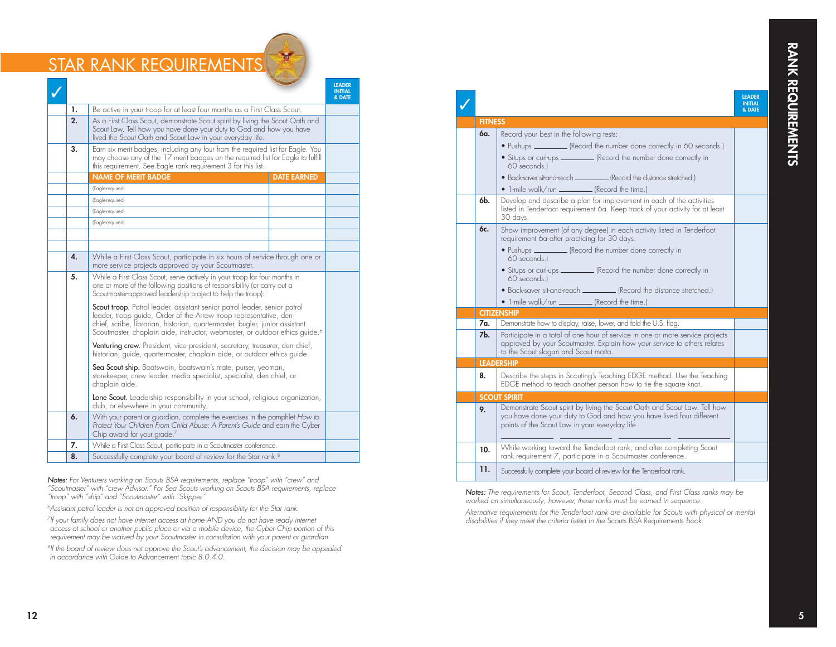#### STAR RANK REQUIREMENTS S

|  |                                                                                                                                                                                                                                                                                                                                                                                                                                                                                                                                                           |                                                                                                                                                                                                                                     |                    | <b>LEADER</b><br><b>INITIAL</b><br>& DATE |
|--|-----------------------------------------------------------------------------------------------------------------------------------------------------------------------------------------------------------------------------------------------------------------------------------------------------------------------------------------------------------------------------------------------------------------------------------------------------------------------------------------------------------------------------------------------------------|-------------------------------------------------------------------------------------------------------------------------------------------------------------------------------------------------------------------------------------|--------------------|-------------------------------------------|
|  | 1.                                                                                                                                                                                                                                                                                                                                                                                                                                                                                                                                                        | Be active in your troop for at least four months as a First Class Scout.                                                                                                                                                            |                    |                                           |
|  | 2.                                                                                                                                                                                                                                                                                                                                                                                                                                                                                                                                                        | As a First Class Scout, demonstrate Scout spirit by living the Scout Oath and<br>Scout Law. Tell how you have done your duty to God and how you have<br>lived the Scout Oath and Scout Law in your everyday life.                   |                    |                                           |
|  | 3.                                                                                                                                                                                                                                                                                                                                                                                                                                                                                                                                                        | Earn six merit badges, including any four from the required list for Eagle. You<br>may choose any of the 17 merit badges on the required list for Eagle to fulfill<br>this requirement. See Eagle rank requirement 3 for this list. |                    |                                           |
|  |                                                                                                                                                                                                                                                                                                                                                                                                                                                                                                                                                           | <b>NAME OF MERIT BADGE</b>                                                                                                                                                                                                          | <b>DATE EARNED</b> |                                           |
|  |                                                                                                                                                                                                                                                                                                                                                                                                                                                                                                                                                           | (Eagle-required)                                                                                                                                                                                                                    |                    |                                           |
|  |                                                                                                                                                                                                                                                                                                                                                                                                                                                                                                                                                           | (Eagle-required)                                                                                                                                                                                                                    |                    |                                           |
|  |                                                                                                                                                                                                                                                                                                                                                                                                                                                                                                                                                           | (Eagle-required)                                                                                                                                                                                                                    |                    |                                           |
|  |                                                                                                                                                                                                                                                                                                                                                                                                                                                                                                                                                           | (Eagle-required)                                                                                                                                                                                                                    |                    |                                           |
|  |                                                                                                                                                                                                                                                                                                                                                                                                                                                                                                                                                           |                                                                                                                                                                                                                                     |                    |                                           |
|  |                                                                                                                                                                                                                                                                                                                                                                                                                                                                                                                                                           |                                                                                                                                                                                                                                     |                    |                                           |
|  | 4.                                                                                                                                                                                                                                                                                                                                                                                                                                                                                                                                                        | While a First Class Scout, participate in six hours of service through one or<br>more service projects approved by your Scoutmaster.                                                                                                |                    |                                           |
|  | 5.<br>While a First Class Scout, serve actively in your troop for four months in<br>one or more of the following positions of responsibility (or carry out a<br>Scoutmaster-approved leadership project to help the troop):<br>Scout troop. Patrol leader, assistant senior patrol leader, senior patrol<br>leader, troop guide, Order of the Arrow troop representative, den<br>chief, scribe, librarian, historian, quartermaster, bugler, junior assistant<br>Scoutmaster, chaplain aide, instructor, webmaster, or outdoor ethics guide. <sup>6</sup> |                                                                                                                                                                                                                                     |                    |                                           |
|  |                                                                                                                                                                                                                                                                                                                                                                                                                                                                                                                                                           |                                                                                                                                                                                                                                     |                    |                                           |
|  |                                                                                                                                                                                                                                                                                                                                                                                                                                                                                                                                                           | Venturing crew. President, vice president, secretary, treasurer, den chief,<br>historian, guide, quartermaster, chaplain aide, or outdoor ethics guide.                                                                             |                    |                                           |
|  | Sea Scout ship. Boatswain, boatswain's mate, purser, yeoman,<br>storekeeper, crew leader, media specialist, specialist, den chief, or<br>chaplain aide.                                                                                                                                                                                                                                                                                                                                                                                                   |                                                                                                                                                                                                                                     |                    |                                           |
|  |                                                                                                                                                                                                                                                                                                                                                                                                                                                                                                                                                           | Lone Scout. Leadership responsibility in your school, religious organization,<br>club, or elsewhere in your community.                                                                                                              |                    |                                           |
|  | 6.                                                                                                                                                                                                                                                                                                                                                                                                                                                                                                                                                        | With your parent or guardian, complete the exercises in the pamphlet How to<br>Protect Your Children From Child Abuse: A Parent's Guide and earn the Cyber<br>Chip award for your grade. <sup>7</sup>                               |                    |                                           |
|  | 7.                                                                                                                                                                                                                                                                                                                                                                                                                                                                                                                                                        | While a First Class Scout, participate in a Scoutmaster conference.                                                                                                                                                                 |                    |                                           |
|  | 8.                                                                                                                                                                                                                                                                                                                                                                                                                                                                                                                                                        | Successfully complete your board of review for the Star rank. <sup>8</sup>                                                                                                                                                          |                    |                                           |

Notes: For Venturers working on Scouts BSA requirements, replace "troop" with "crew" and "Scoutmaster" with "crew Advisor." For Sea Scouts working on Scouts BSA requirements, replace "troop" with "ship" and "Scoutmaster" with "Skipper."

<sup>6</sup>Assistant patrol leader is not an approved position of responsibility for the Star rank.

<sup>7</sup>If your family does not have internet access at home AND you do not have ready internet access at school or another public place or via a mobile device, the Cyber Chip portion of this requirement may be waived by your Scoutmaster in consultation with your parent or guardian.

<sup>8</sup>If the board of review does not approve the Scout's advancement, the decision may be appealed in accordance with Guide to Advancement topic 8.0.4.0.

# **LEADER**<br>INITIAL BUTTAL BUTTAL BUTTAL BUTTAL BUTTAL BUTTAL BUTTAL BUTTAL BUTTAL BUTTAL<br>A DATE

✓

| <b>FITNESS</b>                                                                                                                |                                                                                                                                                                                                     |  |  |
|-------------------------------------------------------------------------------------------------------------------------------|-----------------------------------------------------------------------------------------------------------------------------------------------------------------------------------------------------|--|--|
| 6a.                                                                                                                           | Record your best in the following tests:                                                                                                                                                            |  |  |
|                                                                                                                               | • Pushups __________(Record the number done correctly in 60 seconds.)                                                                                                                               |  |  |
|                                                                                                                               | • Situps or curl-ups __________ (Record the number done correctly in                                                                                                                                |  |  |
|                                                                                                                               | 60 seconds.)                                                                                                                                                                                        |  |  |
|                                                                                                                               | • Backsaver sitand-reach _________ (Record the distance stretched.)                                                                                                                                 |  |  |
|                                                                                                                               | • 1-mile walk/run __________ (Record the time.)                                                                                                                                                     |  |  |
| 6b.                                                                                                                           | Develop and describe a plan for improvement in each of the activities<br>listed in Tenderfoot requirement 6a. Keep track of your activity for at least<br>30 days.                                  |  |  |
| 6c.<br>Show improvement (of any degree) in each activity listed in Tenderfoot<br>requirement 6a after practicing for 30 days. |                                                                                                                                                                                                     |  |  |
|                                                                                                                               | • Pushups __________ (Record the number done correctly in<br>60 seconds.                                                                                                                            |  |  |
| • Situps or curl-ups ___________ (Record the number done correctly in<br>60 seconds.                                          |                                                                                                                                                                                                     |  |  |
|                                                                                                                               | • Back-saver sit-and-reach __________ (Record the distance stretched.)                                                                                                                              |  |  |
|                                                                                                                               | • 1-mile walk/run ___________(Record the time.)                                                                                                                                                     |  |  |
|                                                                                                                               | <b>CITIZENSHIP</b>                                                                                                                                                                                  |  |  |
| 7a.                                                                                                                           | Demonstrate how to display, raise, lower, and fold the U.S. flag.                                                                                                                                   |  |  |
| 7b.                                                                                                                           | Participate in a total of one hour of service in one or more service projects<br>approved by your Scoutmaster. Explain how your service to others relates<br>to the Scout slogan and Scout motto.   |  |  |
|                                                                                                                               | <b>LEADERSHIP</b>                                                                                                                                                                                   |  |  |
| 8.                                                                                                                            | Describe the steps in Scouting's Teaching EDGE method. Use the Teaching<br>EDGE method to teach another person how to tie the square knot.                                                          |  |  |
|                                                                                                                               | <b>SCOUT SPIRIT</b>                                                                                                                                                                                 |  |  |
| 9.                                                                                                                            | Demonstrate Scout spirit by living the Scout Oath and Scout Law. Tell how<br>you have done your duty to God and how you have lived four different<br>points of the Scout Law in your everyday life. |  |  |
| 10.                                                                                                                           | While working toward the Tenderfoot rank, and after completing Scout<br>rank requirement 7, participate in a Scoutmaster conference.                                                                |  |  |
| 11.                                                                                                                           | Successfully complete your board of review for the Tenderfoot rank.                                                                                                                                 |  |  |

Notes: The requirements for Scout, Tenderfoot, Second Class, and First Class ranks may be worked on simultaneously; however, these ranks must be earned in sequence.

Alternative requirements for the Tenderfoot rank are available for Scouts with physical or mental disabilities if they meet the criteria listed in the Scouts BSA Requirements book.

LEADER<br>INITIAL<br>& DATE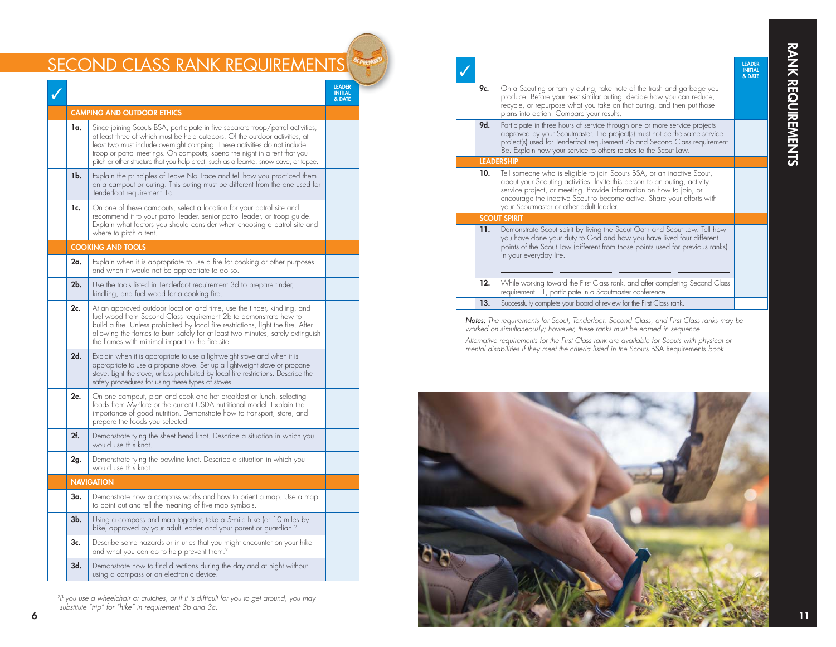#### SECOND CLASS RANK REQUIREMENT S

|                |                                                                                                                                                                                                                                                                                                                                                                                                                    | <b>LEADER</b><br><b>INITIAL</b><br>& DATE |
|----------------|--------------------------------------------------------------------------------------------------------------------------------------------------------------------------------------------------------------------------------------------------------------------------------------------------------------------------------------------------------------------------------------------------------------------|-------------------------------------------|
|                | <b>CAMPING AND OUTDOOR ETHICS</b>                                                                                                                                                                                                                                                                                                                                                                                  |                                           |
| 1a.            | Since joining Scouts BSA, participate in five separate troop/patrol activities,<br>at least three of which must be held outdoors. Of the outdoor activities, at<br>least two must include overnight camping. These activities do not include<br>troop or patrol meetings. On campouts, spend the night in a tent that you<br>pitch or other structure that you help erect, such as a lean-to, snow cave, or tepee. |                                           |
| 1b.            | Explain the principles of Leave No Trace and tell how you practiced them<br>on a campout or outing. This outing must be different from the one used for<br>Tenderfoot requirement 1c.                                                                                                                                                                                                                              |                                           |
| 1c.            | On one of these campouts, select a location for your patrol site and<br>recommend it to your patrol leader, senior patrol leader, or troop guide.<br>Explain what factors you should consider when choosing a patrol site and<br>where to pitch a tent.                                                                                                                                                            |                                           |
|                | <b>COOKING AND TOOLS</b>                                                                                                                                                                                                                                                                                                                                                                                           |                                           |
| 2a.            | Explain when it is appropriate to use a fire for cooking or other purposes<br>and when it would not be appropriate to do so.                                                                                                                                                                                                                                                                                       |                                           |
| 2 <sub>b</sub> | Use the tools listed in Tenderfoot requirement 3d to prepare tinder,<br>kindling, and fuel wood for a cooking fire.                                                                                                                                                                                                                                                                                                |                                           |
| 2c.            | At an approved outdoor location and time, use the tinder, kindling, and<br>fuel wood from Second Class requirement 2b to demonstrate how to<br>build a fire. Unless prohibited by local fire restrictions, light the fire. After<br>allowing the flames to burn safely for at least two minutes, safely extinguish<br>the flames with minimal impact to the fire site.                                             |                                           |
| 2d.            | Explain when it is appropriate to use a lightweight stove and when it is<br>appropriate to use a propane stove. Set up a lightweight stove or propane<br>stove. Light the stove, unless prohibited by local fire restrictions. Describe the<br>safety procedures for using these types of stoves.                                                                                                                  |                                           |
| 2e.            | On one campout, plan and cook one hot breakfast or lunch, selecting<br>foods from MyPlate or the current USDA nutritional model. Explain the<br>importance of good nutrition. Demonstrate how to transport, store, and<br>prepare the foods you selected.                                                                                                                                                          |                                           |
| 2f.            | Demonstrate tying the sheet bend knot. Describe a situation in which you<br>would use this knot.                                                                                                                                                                                                                                                                                                                   |                                           |
| 2g.            | Demonstrate tying the bowline knot. Describe a situation in which you<br>would use this knot.                                                                                                                                                                                                                                                                                                                      |                                           |
|                | <b>NAVIGATION</b>                                                                                                                                                                                                                                                                                                                                                                                                  |                                           |
| 3a.            | Demonstrate how a compass works and how to orient a map. Use a map<br>to point out and tell the meaning of five map symbols.                                                                                                                                                                                                                                                                                       |                                           |
| 3b.            | Using a compass and map together, take a 5-mile hike (or 10 miles by<br>bike) approved by your adult leader and your parent or guardian. <sup>2</sup>                                                                                                                                                                                                                                                              |                                           |
| 3c.            | Describe some hazards or injuries that you might encounter on your hike<br>and what you can do to help prevent them. <sup>2</sup>                                                                                                                                                                                                                                                                                  |                                           |
| 3d.            | Demonstrate how to find directions during the day and at night without<br>using a compass or an electronic device.                                                                                                                                                                                                                                                                                                 |                                           |

<sup>2</sup>lf you use a wheelchair or crutches, or if it is difficult for you to get around, you may substitute "trip" for "hike" in requirement 3b and 3c.

|     |                                                                                                                                                                                                                                                                                                                                                  | <b>LEADER</b><br><b>INITIAL</b><br>& DATE |
|-----|--------------------------------------------------------------------------------------------------------------------------------------------------------------------------------------------------------------------------------------------------------------------------------------------------------------------------------------------------|-------------------------------------------|
| 9c. | On a Scouting or family outing, take note of the trash and garbage you<br>produce. Before your next similar outing, decide how you can reduce,<br>recycle, or repurpose what you take on that outing, and then put those<br>plans into action. Compare your results.                                                                             |                                           |
| 9d. | Participate in three hours of service through one or more service projects<br>approved by your Scoutmaster. The project(s) must not be the same service<br>project(s) used for Tenderfoot requirement 7b and Second Class requirement<br>8e. Explain how your service to others relates to the Scout Law.                                        |                                           |
|     | <b>LEADERSHIP</b>                                                                                                                                                                                                                                                                                                                                |                                           |
| 10. | Tell someone who is eligible to join Scouts BSA, or an inactive Scout,<br>about your Scouting activities. Invite this person to an outing, activity,<br>service project, or meeting. Provide information on how to join, or<br>encourage the inactive Scout to become active. Share your efforts with<br>your Scoutmaster or other adult leader. |                                           |
|     | <b>SCOUT SPIRIT</b>                                                                                                                                                                                                                                                                                                                              |                                           |
| 11. | Demonstrate Scout spirit by living the Scout Oath and Scout Law. Tell how<br>you have done your duty to God and how you have lived four different<br>points of the Scout Law (different from those points used for previous ranks)<br>in your everyday life.                                                                                     |                                           |
| 12. | While working toward the First Class rank, and after completing Second Class<br>requirement 11, participate in a Scoutmaster conference.                                                                                                                                                                                                         |                                           |
| 13. | Successfully complete your board of review for the First Class rank.                                                                                                                                                                                                                                                                             |                                           |
|     |                                                                                                                                                                                                                                                                                                                                                  |                                           |

Notes: The requirements for Scout, Tenderfoot, Second Class, and First Class ranks may be worked on simultaneously; however, these ranks must be earned in sequence.

Alternative requirements for the First Class rank are available for Scouts with physical or mental disabilities if they meet the criteria listed in the Scouts BSA Requirements book.

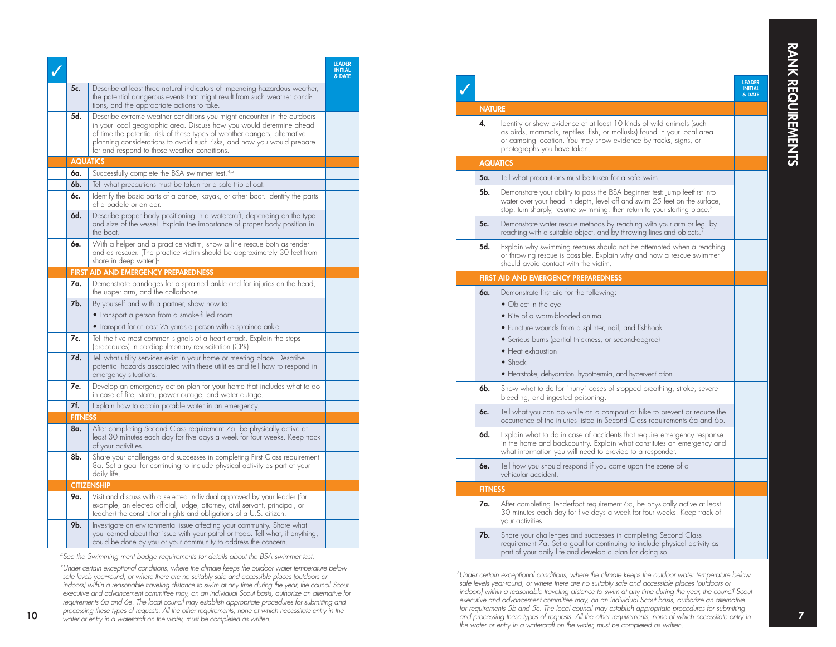|                 |                                                                                                                                                                                                                                                                                                                                                        | <b>LEADER</b><br><b>INITIAL</b><br>& DATE |
|-----------------|--------------------------------------------------------------------------------------------------------------------------------------------------------------------------------------------------------------------------------------------------------------------------------------------------------------------------------------------------------|-------------------------------------------|
| 5c.             | Describe at least three natural indicators of impending hazardous weather,<br>the potential dangerous events that might result from such weather condi-<br>tions, and the appropriate actions to take.                                                                                                                                                 |                                           |
| 5d.             | Describe extreme weather conditions you might encounter in the outdoors<br>in your local geographic area. Discuss how you would determine ahead<br>of time the potential risk of these types of weather dangers, alternative<br>planning considerations to avoid such risks, and how you would prepare<br>for and respond to those weather conditions. |                                           |
| <b>AQUATICS</b> |                                                                                                                                                                                                                                                                                                                                                        |                                           |
| 6a.             | Successfully complete the BSA swimmer test. <sup>4,5</sup>                                                                                                                                                                                                                                                                                             |                                           |
| 6b.             | Tell what precautions must be taken for a safe trip afloat.                                                                                                                                                                                                                                                                                            |                                           |
| 6с.             | Identify the basic parts of a canoe, kayak, or other boat. Identify the parts<br>of a paddle or an oar.                                                                                                                                                                                                                                                |                                           |
| 6d.             | Describe proper body positioning in a watercraft, depending on the type<br>and size of the vessel. Explain the importance of proper body position in<br>the boat.                                                                                                                                                                                      |                                           |
| 6e.             | With a helper and a practice victim, show a line rescue both as tender<br>and as rescuer. (The practice victim should be approximately 30 feet from<br>shore in deep water.) <sup>5</sup>                                                                                                                                                              |                                           |
| <b>FIRST</b>    | AID AND EMERGENCY PREPAREDNESS                                                                                                                                                                                                                                                                                                                         |                                           |
| 7a.             | Demonstrate bandages for a sprained ankle and for injuries on the head,<br>the upper arm, and the collarbone.                                                                                                                                                                                                                                          |                                           |
| 7b.             | By yourself and with a partner, show how to:                                                                                                                                                                                                                                                                                                           |                                           |
|                 | • Transport a person from a smoke-filled room.                                                                                                                                                                                                                                                                                                         |                                           |
|                 | $\bullet$ Transport for at least 25 yards a person with a sprained ankle.                                                                                                                                                                                                                                                                              |                                           |
| 7c.             | Tell the five most common signals of a heart attack. Explain the steps<br>(procedures) in cardiopulmonary resuscitation (CPR).                                                                                                                                                                                                                         |                                           |
| 7d.             | Tell what utility services exist in your home or meeting place. Describe<br>potential hazards associated with these utilities and tell how to respond in<br>emergency situations.                                                                                                                                                                      |                                           |
| 7e.             | Develop an emergency action plan for your home that includes what to do<br>in case of fire, storm, power outage, and water outage.                                                                                                                                                                                                                     |                                           |
| 7f.             | Explain how to obtain potable water in an emergency.                                                                                                                                                                                                                                                                                                   |                                           |
| <b>FITNESS</b>  |                                                                                                                                                                                                                                                                                                                                                        |                                           |
| 8a.             | After completing Second Class requirement 7a, be physically active at<br>least 30 minutes each day for five days a week for four weeks. Keep track<br>ot your activities.                                                                                                                                                                              |                                           |
| 8b.             | Share your challenges and successes in completing First Class requirement<br>8a. Set a goal for continuing to include physical activity as part of your<br>daily life.                                                                                                                                                                                 |                                           |
|                 | <b>CITIZENSHIP</b>                                                                                                                                                                                                                                                                                                                                     |                                           |
| 9a.             | Visit and discuss with a selected individual approved by your leader (for<br>example, an elected official, judge, attorney, civil servant, principal, or<br>teacher) the constitutional rights and obligations of a U.S. citizen.                                                                                                                      |                                           |
| 9b.             | Investigate an environmental issue affecting your community. Share what<br>you learned about that issue with your patrol or troop. Tell what, if anything,<br>could be done by you or your community to address the concern.                                                                                                                           |                                           |

<sup>4</sup>See the Swimming merit badge requirements for details about the BSA swimmer test.

5 Under certain exceptional conditions, where the climate keeps the outdoor water temperature below safe levels year-round, or where there are no suitably safe and accessible places (outdoors or indoors) within a reasonable traveling distance to swim at any time during the year, the council Scout executive and advancement committee may, on an individual Scout basis, authorize an alternative for requirements 6a and 6e. The local council may establish appropriate procedures for submitting and processing these types of requests. All the other requirements, none of which necessitate entry in the **10**<br>**10** protocol only in a watercraft on the water must be completed as written. water or entry in a watercraft on the water, must be completed as written.

|                 |                                                                                                                                                                                                                                                                                                                                              | <b>LEADER</b><br><b>INITIAL</b><br>& DATE |
|-----------------|----------------------------------------------------------------------------------------------------------------------------------------------------------------------------------------------------------------------------------------------------------------------------------------------------------------------------------------------|-------------------------------------------|
| <b>NATURE</b>   |                                                                                                                                                                                                                                                                                                                                              |                                           |
| 4.              | Identify or show evidence of at least 10 kinds of wild animals (such<br>as birds, mammals, reptiles, fish, or mollusks) found in your local area<br>or camping location. You may show evidence by tracks, signs, or<br>photographs you have taken.                                                                                           |                                           |
| <b>AQUATICS</b> |                                                                                                                                                                                                                                                                                                                                              |                                           |
| 5a.             | Tell what precautions must be taken for a safe swim.                                                                                                                                                                                                                                                                                         |                                           |
| 5b.             | Demonstrate your ability to pass the BSA beginner test: Jump feetfirst into<br>water over your head in depth, level off and swim 25 feet on the surface,<br>stop, turn sharply, resume swimming, then return to your starting place. <sup>3</sup>                                                                                            |                                           |
| 5c.             | Demonstrate water rescue methods by reaching with your arm or leg, by<br>reaching with a suitable object, and by throwing lines and objects. <sup>3</sup>                                                                                                                                                                                    |                                           |
| 5d.             | Explain why swimming rescues should not be attempted when a reaching<br>or throwing rescue is possible. Explain why and how a rescue swimmer<br>should avoid contact with the victim.                                                                                                                                                        |                                           |
|                 | <b>FIRST AID AND EMERGENCY PREPAREDNESS</b>                                                                                                                                                                                                                                                                                                  |                                           |
| 6a.             | Demonstrate first aid for the following:<br>• Object in the eye<br>• Bite of a warm-blooded animal<br>• Puncture wounds from a splinter, nail, and fishhook<br>• Serious burns (partial thickness, or second-degree)<br>$\bullet$ Heat exhaustion<br>$\bullet$ Shock<br>$\bullet$ Heatstroke, dehydration, hypothermia, and hyperventilation |                                           |
| 6b.             | Show what to do for "hurry" cases of stopped breathing, stroke, severe<br>bleeding, and ingested poisoning.                                                                                                                                                                                                                                  |                                           |
| 6c.             | Tell what you can do while on a campout or hike to prevent or reduce the<br>occurrence of the injuries listed in Second Class requirements 6a and 6b.                                                                                                                                                                                        |                                           |
| 6d.             | Explain what to do in case of accidents that require emergency response<br>in the home and backcountry. Explain what constitutes an emergency and<br>what information you will need to provide to a responder.                                                                                                                               |                                           |
| 6e.             | Tell how you should respond if you come upon the scene of a<br>vehicular accident.                                                                                                                                                                                                                                                           |                                           |
| <b>FITNESS</b>  |                                                                                                                                                                                                                                                                                                                                              |                                           |
| 7a.             | After completing Tenderfoot requirement 6c, be physically active at least<br>30 minutes each day for five days a week for four weeks. Keep track of<br>your activities.                                                                                                                                                                      |                                           |
| 7b.             | Share your challenges and successes in completing Second Class<br>requirement 7a. Set a goal for continuing to include physical activity as<br>part of your daily life and develop a plan for doing so.                                                                                                                                      |                                           |
|                 |                                                                                                                                                                                                                                                                                                                                              |                                           |

<sup>3</sup>Under certain exceptional conditions, where the climate keeps the outdoor water temperature below safe levels year-round, or where there are no suitably safe and accessible places (outdoors or indoors) within a reasonable traveling distance to swim at any time during the year, the council Scout executive and advancement committee may, on an individual Scout basis, authorize an alternative for requirements 5b and 5c. The local council may establish appropriate procedures for submitting and processing these types of requests. All the other requirements, none of which necessitate entry in the water or entry in a watercraft on the water, must be completed as written.